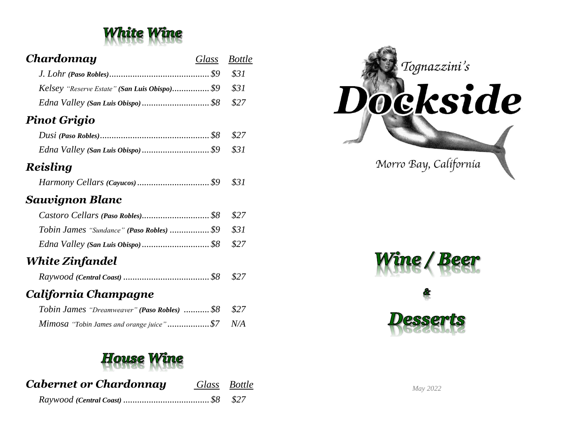

| Chardonnay                                         | Glass Bottle |  |
|----------------------------------------------------|--------------|--|
|                                                    |              |  |
| Kelsey "Reserve Estate" (San Luis Obispo) \$9 \$31 |              |  |
|                                                    |              |  |

## *Pinot Grigio*

## *Reisling*

|--|--|--|

## *Sauvignon Blanc*

| Tobin James "Sundance" (Paso Robles)  \$9 \$31 |  |
|------------------------------------------------|--|
|                                                |  |

# *White Zinfandel*

|--|--|

## *California Champagne*

| Tobin James "Dreamweaver" (Paso Robles)  \$8 \$27 |  |
|---------------------------------------------------|--|
| Mimosa "Tobin James and orange juice"\$7 N/A      |  |

# House

| <b>Cabernet or Chardonnay</b> | Glass Bottle |
|-------------------------------|--------------|
|                               |              |





*May 2022*